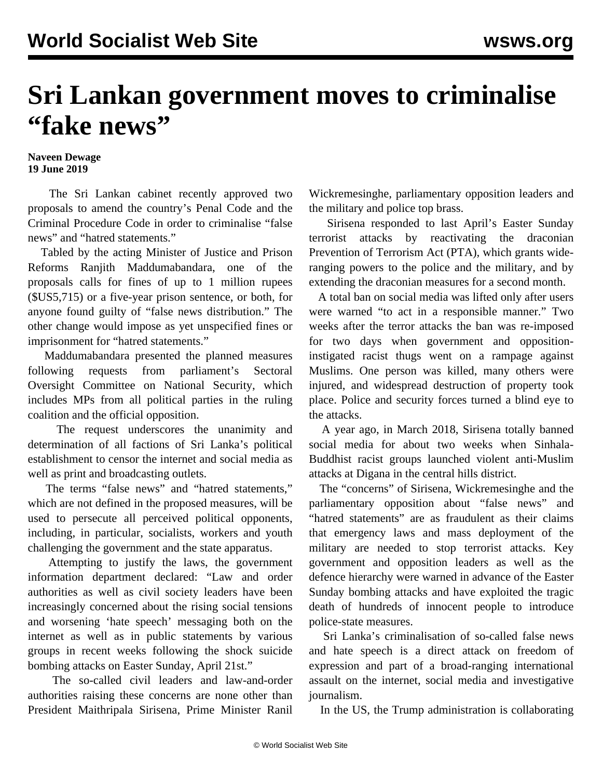## **Sri Lankan government moves to criminalise "fake news"**

## **Naveen Dewage 19 June 2019**

 The Sri Lankan cabinet recently approved two proposals to amend the country's Penal Code and the Criminal Procedure Code in order to criminalise "false news" and "hatred statements."

 Tabled by the acting Minister of Justice and Prison Reforms Ranjith Maddumabandara, one of the proposals calls for fines of up to 1 million rupees (\$US5,715) or a five-year prison sentence, or both, for anyone found guilty of "false news distribution." The other change would impose as yet unspecified fines or imprisonment for "hatred statements."

 Maddumabandara presented the planned measures following requests from parliament's Sectoral Oversight Committee on National Security, which includes MPs from all political parties in the ruling coalition and the official opposition.

 The request underscores the unanimity and determination of all factions of Sri Lanka's political establishment to censor the internet and social media as well as print and broadcasting outlets.

 The terms "false news" and "hatred statements," which are not defined in the proposed measures, will be used to persecute all perceived political opponents, including, in particular, socialists, workers and youth challenging the government and the state apparatus.

 Attempting to justify the laws, the government information department declared: "Law and order authorities as well as civil society leaders have been increasingly concerned about the rising social tensions and worsening 'hate speech' messaging both on the internet as well as in public statements by various groups in recent weeks following the shock suicide bombing attacks on Easter Sunday, April 21st."

 The so-called civil leaders and law-and-order authorities raising these concerns are none other than President Maithripala Sirisena, Prime Minister Ranil

Wickremesinghe, parliamentary opposition leaders and the military and police top brass.

 Sirisena responded to last April's Easter Sunday terrorist attacks by reactivating the draconian Prevention of Terrorism Act (PTA), which grants wideranging powers to the police and the military, and by extending the draconian measures for a second month.

 A total ban on social media was lifted only after users were warned "to act in a responsible manner." Two weeks after the terror attacks the ban was re-imposed for two days when government and oppositioninstigated racist thugs went on a rampage against Muslims. One person was killed, many others were injured, and widespread destruction of property took place. Police and security forces turned a blind eye to the attacks.

 A year ago, in March 2018, Sirisena totally banned social media for about two weeks when Sinhala-Buddhist racist groups launched violent anti-Muslim attacks at Digana in the central hills district.

 The "concerns" of Sirisena, Wickremesinghe and the parliamentary opposition about "false news" and "hatred statements" are as fraudulent as their claims that emergency laws and mass deployment of the military are needed to stop terrorist attacks. Key government and opposition leaders as well as the defence hierarchy were warned in advance of the Easter Sunday bombing attacks and have exploited the tragic death of hundreds of innocent people to introduce police-state measures.

 Sri Lanka's criminalisation of so-called false news and hate speech is a direct attack on freedom of expression and part of a broad-ranging international assault on the internet, social media and investigative journalism.

In the US, the Trump administration is collaborating